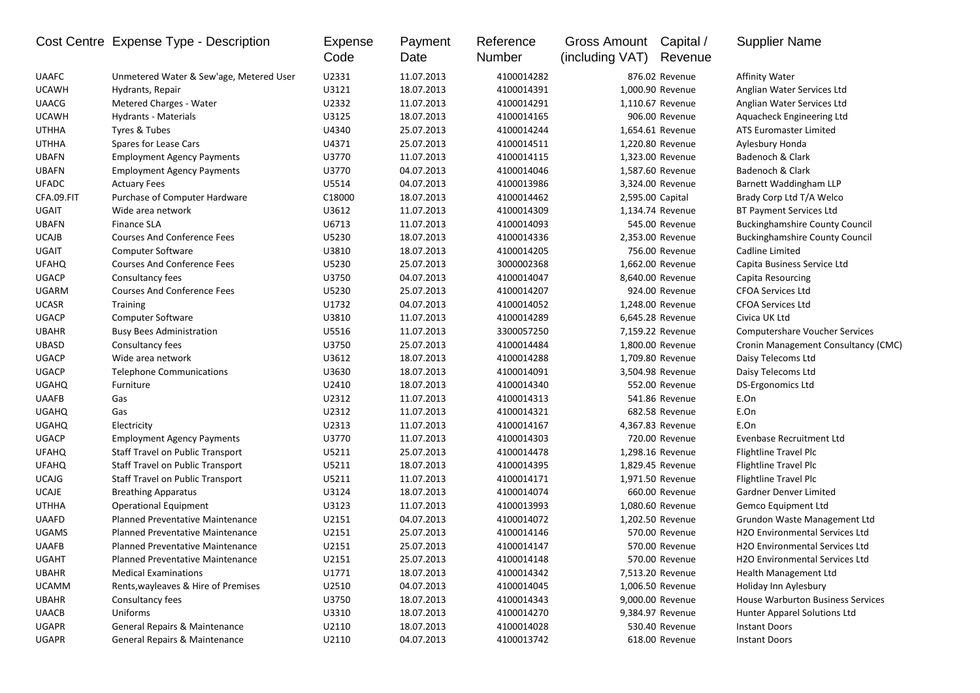|              | Cost Centre Expense Type - Description  | Expense<br>Code | Payment<br>Date | Reference<br>Number | Gross Amount<br>(including VAT) | Capital /<br>Revenue | <b>Supplier Name</b>                        |
|--------------|-----------------------------------------|-----------------|-----------------|---------------------|---------------------------------|----------------------|---------------------------------------------|
| <b>UAAFC</b> | Unmetered Water & Sew'age, Metered User | U2331           | 11.07.2013      | 4100014282          |                                 | 876.02 Revenue       | <b>Affinity Water</b>                       |
| <b>UCAWH</b> | Hydrants, Repair                        | U3121           | 18.07.2013      | 4100014391          |                                 | 1,000.90 Revenue     | Anglian Water Services Ltd                  |
| <b>UAACG</b> | Metered Charges - Water                 | U2332           | 11.07.2013      | 4100014291          |                                 | 1,110.67 Revenue     | Anglian Water Services Ltd                  |
| <b>UCAWH</b> | Hydrants - Materials                    | U3125           | 18.07.2013      | 4100014165          |                                 | 906.00 Revenue       | Aquacheck Engineering Ltd                   |
| <b>UTHHA</b> | Tyres & Tubes                           | U4340           | 25.07.2013      | 4100014244          |                                 | 1,654.61 Revenue     | ATS Euromaster Limited                      |
| <b>UTHHA</b> | Spares for Lease Cars                   | U4371           | 25.07.2013      | 4100014511          |                                 | 1,220.80 Revenue     | Aylesbury Honda                             |
| <b>UBAFN</b> | <b>Employment Agency Payments</b>       | U3770           | 11.07.2013      | 4100014115          |                                 | 1,323.00 Revenue     | Badenoch & Clark                            |
| <b>UBAFN</b> | <b>Employment Agency Payments</b>       | U3770           | 04.07.2013      | 4100014046          |                                 | 1,587.60 Revenue     | Badenoch & Clark                            |
| <b>UFADC</b> | <b>Actuary Fees</b>                     | U5514           | 04.07.2013      | 4100013986          |                                 | 3,324.00 Revenue     | Barnett Waddingham LLP                      |
| CFA.09.FIT   | Purchase of Computer Hardware           | C18000          | 18.07.2013      | 4100014462          | 2,595.00 Capital                |                      | Brady Corp Ltd T/A Welco                    |
| UGAIT        | Wide area network                       | U3612           | 11.07.2013      | 4100014309          |                                 | 1,134.74 Revenue     | <b>BT Payment Services Ltd</b>              |
| <b>UBAFN</b> | <b>Finance SLA</b>                      | U6713           | 11.07.2013      | 4100014093          |                                 | 545.00 Revenue       | <b>Buckinghamshire County Council</b>       |
| <b>UCAJB</b> | <b>Courses And Conference Fees</b>      | U5230           | 18.07.2013      | 4100014336          |                                 | 2,353.00 Revenue     | <b>Buckinghamshire County Council</b>       |
| <b>UGAIT</b> | <b>Computer Software</b>                | U3810           | 18.07.2013      | 4100014205          |                                 | 756.00 Revenue       | Cadline Limited                             |
| <b>UFAHQ</b> | <b>Courses And Conference Fees</b>      | U5230           | 25.07.2013      | 3000002368          |                                 | 1,662.00 Revenue     | Capita Business Service Ltd                 |
| <b>UGACP</b> | Consultancy fees                        | U3750           | 04.07.2013      | 4100014047          |                                 | 8,640.00 Revenue     | Capita Resourcing                           |
| <b>UGARM</b> | <b>Courses And Conference Fees</b>      | U5230           | 25.07.2013      | 4100014207          |                                 | 924.00 Revenue       | <b>CFOA Services Ltd</b>                    |
| <b>UCASR</b> | <b>Training</b>                         | U1732           | 04.07.2013      | 4100014052          |                                 | 1,248.00 Revenue     | <b>CFOA Services Ltd</b>                    |
| <b>UGACP</b> | Computer Software                       | U3810           | 11.07.2013      | 4100014289          |                                 | 6,645.28 Revenue     | Civica UK Ltd                               |
| <b>UBAHR</b> | <b>Busy Bees Administration</b>         | U5516           | 11.07.2013      | 3300057250          |                                 | 7,159.22 Revenue     | <b>Computershare Voucher Services</b>       |
| <b>UBASD</b> | Consultancy fees                        | U3750           | 25.07.2013      | 4100014484          |                                 | 1,800.00 Revenue     | Cronin Management Consultancy (CMC)         |
| <b>UGACP</b> | Wide area network                       | U3612           | 18.07.2013      | 4100014288          |                                 | 1,709.80 Revenue     | Daisy Telecoms Ltd                          |
| <b>UGACP</b> | <b>Telephone Communications</b>         | U3630           | 18.07.2013      | 4100014091          |                                 | 3,504.98 Revenue     | Daisy Telecoms Ltd                          |
| <b>UGAHQ</b> | Furniture                               | U2410           | 18.07.2013      | 4100014340          |                                 | 552.00 Revenue       | DS-Ergonomics Ltd                           |
| <b>UAAFB</b> | Gas                                     | U2312           | 11.07.2013      | 4100014313          |                                 | 541.86 Revenue       | E.On                                        |
| <b>UGAHQ</b> | Gas                                     | U2312           | 11.07.2013      | 4100014321          |                                 | 682.58 Revenue       | E.On                                        |
| <b>UGAHQ</b> | Electricity                             | U2313           | 11.07.2013      | 4100014167          |                                 | 4,367.83 Revenue     | E.On                                        |
| <b>UGACP</b> | <b>Employment Agency Payments</b>       | U3770           | 11.07.2013      | 4100014303          |                                 | 720.00 Revenue       | Evenbase Recruitment Ltd                    |
| <b>UFAHQ</b> | Staff Travel on Public Transport        | U5211           | 25.07.2013      | 4100014478          |                                 | 1,298.16 Revenue     | Flightline Travel Plc                       |
| <b>UFAHQ</b> | Staff Travel on Public Transport        | U5211           | 18.07.2013      | 4100014395          |                                 | 1,829.45 Revenue     | Flightline Travel Plc                       |
| <b>UCAJG</b> | Staff Travel on Public Transport        | U5211           | 11.07.2013      | 4100014171          |                                 | 1,971.50 Revenue     | Flightline Travel Plc                       |
| <b>UCAJE</b> | <b>Breathing Apparatus</b>              | U3124           | 18.07.2013      | 4100014074          |                                 | 660.00 Revenue       | Gardner Denver Limited                      |
| <b>UTHHA</b> | <b>Operational Equipment</b>            | U3123           | 11.07.2013      | 4100013993          |                                 | 1,080.60 Revenue     | Gemco Equipment Ltd                         |
| <b>UAAFD</b> | <b>Planned Preventative Maintenance</b> | U2151           | 04.07.2013      | 4100014072          |                                 | 1,202.50 Revenue     | Grundon Waste Management Ltd                |
| <b>UGAMS</b> | Planned Preventative Maintenance        | U2151           | 25.07.2013      | 4100014146          |                                 | 570.00 Revenue       | H2O Environmental Services Ltd              |
| <b>UAAFB</b> | <b>Planned Preventative Maintenance</b> | U2151           | 25.07.2013      | 4100014147          |                                 | 570.00 Revenue       | <b>H2O Environmental Services Ltd</b>       |
| UGAHT        | Planned Preventative Maintenance        | U2151           | 25.07.2013      | 4100014148          |                                 | 570.00 Revenue       | H <sub>2</sub> O Environmental Services Ltd |
| <b>UBAHR</b> | <b>Medical Examinations</b>             | U1771           | 18.07.2013      | 4100014342          |                                 | 7,513.20 Revenue     | Health Management Ltd                       |
| <b>UCAMM</b> | Rents, wayleaves & Hire of Premises     | U2510           | 04.07.2013      | 4100014045          |                                 | 1,006.50 Revenue     | Holiday Inn Aylesbury                       |
| <b>UBAHR</b> | Consultancy fees                        | U3750           | 18.07.2013      | 4100014343          |                                 | 9,000.00 Revenue     | House Warburton Business Services           |
| <b>UAACB</b> | Uniforms                                | U3310           | 18.07.2013      | 4100014270          |                                 | 9,384.97 Revenue     | Hunter Apparel Solutions Ltd                |
| UGAPR        | General Repairs & Maintenance           | U2110           | 18.07.2013      | 4100014028          |                                 | 530.40 Revenue       | <b>Instant Doors</b>                        |
| UGAPR        | General Repairs & Maintenance           | U2110           | 04.07.2013      | 4100013742          |                                 | 618.00 Revenue       | <b>Instant Doors</b>                        |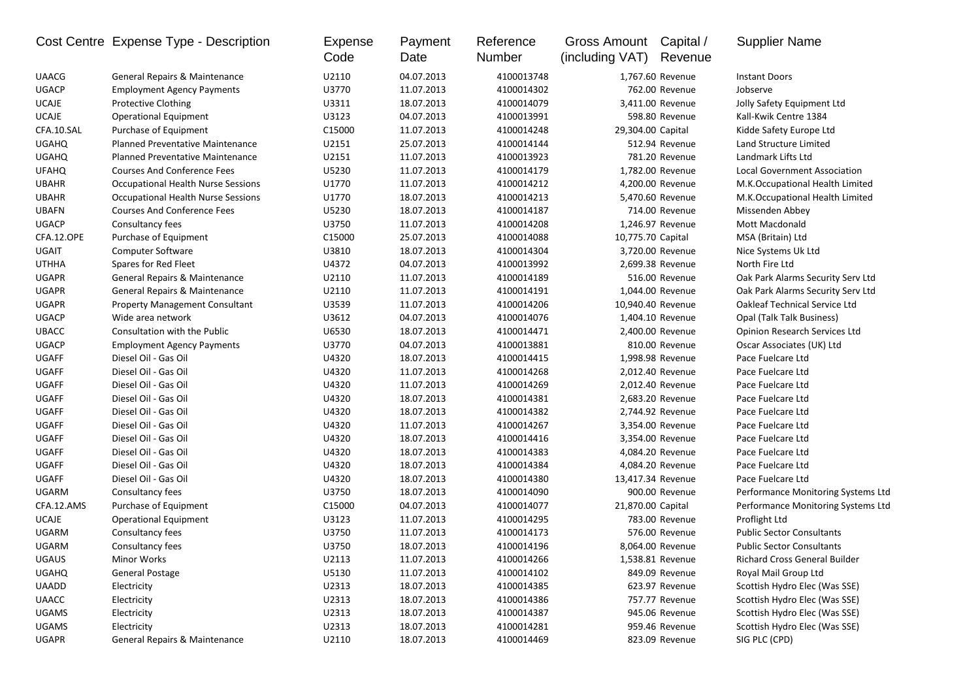|              | Cost Centre Expense Type - Description    | Expense<br>Code    | Payment<br>Date | Reference<br>Number | Gross Amount<br>(including VAT) | Capital /<br>Revenue | <b>Supplier Name</b>                 |
|--------------|-------------------------------------------|--------------------|-----------------|---------------------|---------------------------------|----------------------|--------------------------------------|
| <b>UAACG</b> | General Repairs & Maintenance             | U2110              | 04.07.2013      | 4100013748          |                                 | 1,767.60 Revenue     | <b>Instant Doors</b>                 |
| <b>UGACP</b> | <b>Employment Agency Payments</b>         | U3770              | 11.07.2013      | 4100014302          |                                 | 762.00 Revenue       | Jobserve                             |
| <b>UCAJE</b> | Protective Clothing                       | U3311              | 18.07.2013      | 4100014079          |                                 | 3,411.00 Revenue     | Jolly Safety Equipment Ltd           |
| <b>UCAJE</b> | <b>Operational Equipment</b>              | U3123              | 04.07.2013      | 4100013991          |                                 | 598.80 Revenue       | Kall-Kwik Centre 1384                |
| CFA.10.SAL   | Purchase of Equipment                     | C15000             | 11.07.2013      | 4100014248          | 29,304.00 Capital               |                      | Kidde Safety Europe Ltd              |
| <b>UGAHQ</b> | <b>Planned Preventative Maintenance</b>   | U2151              | 25.07.2013      | 4100014144          |                                 | 512.94 Revenue       | Land Structure Limited               |
| <b>UGAHQ</b> | Planned Preventative Maintenance          | U2151              | 11.07.2013      | 4100013923          |                                 | 781.20 Revenue       | Landmark Lifts Ltd                   |
| <b>UFAHQ</b> | <b>Courses And Conference Fees</b>        | U5230              | 11.07.2013      | 4100014179          |                                 | 1,782.00 Revenue     | Local Government Association         |
| <b>UBAHR</b> | Occupational Health Nurse Sessions        | U1770              | 11.07.2013      | 4100014212          |                                 | 4,200.00 Revenue     | M.K.Occupational Health Limited      |
| <b>UBAHR</b> | <b>Occupational Health Nurse Sessions</b> | U1770              | 18.07.2013      | 4100014213          |                                 | 5,470.60 Revenue     | M.K.Occupational Health Limited      |
| <b>UBAFN</b> | <b>Courses And Conference Fees</b>        | U5230              | 18.07.2013      | 4100014187          |                                 | 714.00 Revenue       | Missenden Abbey                      |
| <b>UGACP</b> | Consultancy fees                          | U3750              | 11.07.2013      | 4100014208          |                                 | 1,246.97 Revenue     | Mott Macdonald                       |
| CFA.12.OPE   | Purchase of Equipment                     | C15000             | 25.07.2013      | 4100014088          | 10,775.70 Capital               |                      | MSA (Britain) Ltd                    |
| <b>UGAIT</b> | <b>Computer Software</b>                  | U3810              | 18.07.2013      | 4100014304          |                                 | 3,720.00 Revenue     | Nice Systems Uk Ltd                  |
| <b>UTHHA</b> | Spares for Red Fleet                      | U4372              | 04.07.2013      | 4100013992          |                                 | 2,699.38 Revenue     | North Fire Ltd                       |
| <b>UGAPR</b> | General Repairs & Maintenance             | U2110              | 11.07.2013      | 4100014189          |                                 | 516.00 Revenue       | Oak Park Alarms Security Serv Ltd    |
| <b>UGAPR</b> | General Repairs & Maintenance             | U2110              | 11.07.2013      | 4100014191          |                                 | 1,044.00 Revenue     | Oak Park Alarms Security Serv Ltd    |
| <b>UGAPR</b> | <b>Property Management Consultant</b>     | U3539              | 11.07.2013      | 4100014206          |                                 | 10,940.40 Revenue    | <b>Oakleaf Technical Service Ltd</b> |
| <b>UGACP</b> | Wide area network                         | U3612              | 04.07.2013      | 4100014076          |                                 | 1,404.10 Revenue     | Opal (Talk Talk Business)            |
| <b>UBACC</b> | <b>Consultation with the Public</b>       | U6530              | 18.07.2013      | 4100014471          |                                 | 2,400.00 Revenue     | <b>Opinion Research Services Ltd</b> |
| <b>UGACP</b> | <b>Employment Agency Payments</b>         | U3770              | 04.07.2013      | 4100013881          |                                 | 810.00 Revenue       | Oscar Associates (UK) Ltd            |
| <b>UGAFF</b> | Diesel Oil - Gas Oil                      | U4320              | 18.07.2013      | 4100014415          |                                 | 1,998.98 Revenue     | Pace Fuelcare Ltd                    |
| <b>UGAFF</b> | Diesel Oil - Gas Oil                      | U4320              | 11.07.2013      | 4100014268          |                                 | 2,012.40 Revenue     | Pace Fuelcare Ltd                    |
| <b>UGAFF</b> | Diesel Oil - Gas Oil                      | U4320              | 11.07.2013      | 4100014269          |                                 | 2,012.40 Revenue     | Pace Fuelcare Ltd                    |
| <b>UGAFF</b> | Diesel Oil - Gas Oil                      | U4320              | 18.07.2013      | 4100014381          |                                 | 2,683.20 Revenue     | Pace Fuelcare Ltd                    |
| <b>UGAFF</b> | Diesel Oil - Gas Oil                      | U4320              | 18.07.2013      | 4100014382          |                                 | 2,744.92 Revenue     | Pace Fuelcare Ltd                    |
| <b>UGAFF</b> | Diesel Oil - Gas Oil                      | U4320              | 11.07.2013      | 4100014267          |                                 | 3,354.00 Revenue     | Pace Fuelcare Ltd                    |
| <b>UGAFF</b> | Diesel Oil - Gas Oil                      | U4320              | 18.07.2013      | 4100014416          |                                 | 3,354.00 Revenue     | Pace Fuelcare Ltd                    |
| <b>UGAFF</b> | Diesel Oil - Gas Oil                      | U4320              | 18.07.2013      | 4100014383          |                                 | 4,084.20 Revenue     | Pace Fuelcare Ltd                    |
| UGAFF        | Diesel Oil - Gas Oil                      | U4320              | 18.07.2013      | 4100014384          |                                 | 4,084.20 Revenue     | Pace Fuelcare Ltd                    |
| <b>UGAFF</b> | Diesel Oil - Gas Oil                      | U4320              | 18.07.2013      | 4100014380          |                                 | 13,417.34 Revenue    | Pace Fuelcare Ltd                    |
| UGARM        | Consultancy fees                          | U3750              | 18.07.2013      | 4100014090          |                                 | 900.00 Revenue       | Performance Monitoring Systems Ltd   |
| CFA.12.AMS   | Purchase of Equipment                     | C <sub>15000</sub> | 04.07.2013      | 4100014077          | 21,870.00 Capital               |                      | Performance Monitoring Systems Ltd   |
| <b>UCAJE</b> | <b>Operational Equipment</b>              | U3123              | 11.07.2013      | 4100014295          |                                 | 783.00 Revenue       | Proflight Ltd                        |
| <b>UGARM</b> | Consultancy fees                          | U3750              | 11.07.2013      | 4100014173          |                                 | 576.00 Revenue       | <b>Public Sector Consultants</b>     |
| UGARM        | Consultancy fees                          | U3750              | 18.07.2013      | 4100014196          |                                 | 8,064.00 Revenue     | <b>Public Sector Consultants</b>     |
| <b>UGAUS</b> | Minor Works                               | U2113              | 11.07.2013      | 4100014266          |                                 | 1,538.81 Revenue     | <b>Richard Cross General Builder</b> |
| <b>UGAHQ</b> | <b>General Postage</b>                    | U5130              | 11.07.2013      | 4100014102          |                                 | 849.09 Revenue       | Royal Mail Group Ltd                 |
| <b>UAADD</b> | Electricity                               | U2313              | 18.07.2013      | 4100014385          |                                 | 623.97 Revenue       | Scottish Hydro Elec (Was SSE)        |
| <b>UAACC</b> | Electricity                               | U2313              | 18.07.2013      | 4100014386          |                                 | 757.77 Revenue       | Scottish Hydro Elec (Was SSE)        |
| <b>UGAMS</b> | Electricity                               | U2313              | 18.07.2013      | 4100014387          |                                 | 945.06 Revenue       | Scottish Hydro Elec (Was SSE)        |
| <b>UGAMS</b> | Electricity                               | U2313              | 18.07.2013      | 4100014281          |                                 | 959.46 Revenue       | Scottish Hydro Elec (Was SSE)        |
| UGAPR        | General Repairs & Maintenance             | U2110              | 18.07.2013      | 4100014469          |                                 | 823.09 Revenue       | SIG PLC (CPD)                        |